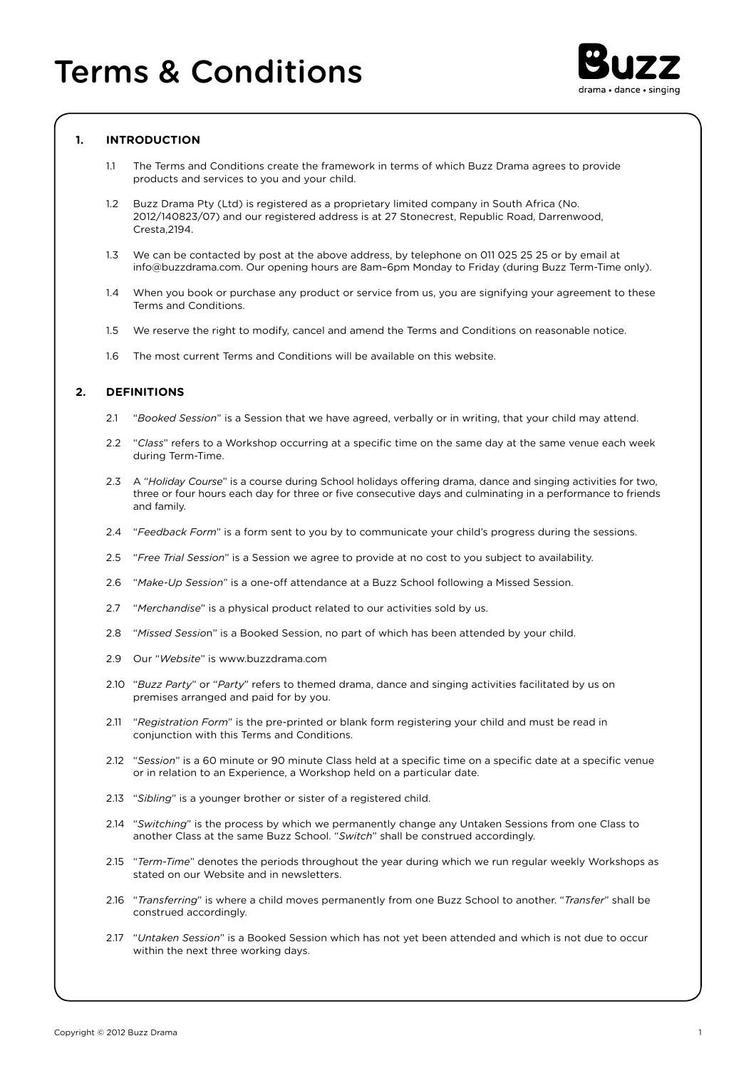

# **1. INTRODUCTION**

- 1.1 The Terms and Conditions create the framework in terms of which Buzz Drama agrees to provide products and services to you and your child.
- 1.2 Buzz Drama Pty (Ltd) is registered as a proprietary limited company in South Africa (No. 2012/140823/07) and our registered address is at 27 Stonecrest, Republic Road, Darrenwood, Cresta,2194.
- 1.3 We can be contacted by post at the above address, by telephone on 011 025 25 25 or by email at info@buzzdrama.com. Our opening hours are 8am–6pm Monday to Friday (during Buzz Term-Time only).
- 1.4 When you book or purchase any product or service from us, you are signifying your agreement to these Terms and Conditions.
- 1.5 We reserve the right to modify, cancel and amend the Terms and Conditions on reasonable notice.
- 1.6 The most current Terms and Conditions will be available on this website.

# **2. DEFINITIONS**

- 2.1 "*Booked Session*" is a Session that we have agreed, verbally or in writing, that your child may attend.
- 2.2 "*Class*" refers to a Workshop occurring at a specific time on the same day at the same venue each week during Term-Time.
- 2.3 A "*Holiday Course*" is a course during School holidays offering drama, dance and singing activities for two, three or four hours each day for three or five consecutive days and culminating in a performance to friends and family.
- 2.4 "*Feedback Form*" is a form sent to you by to communicate your child's progress during the sessions.
- 2.5 "*Free Trial Session*" is a Session we agree to provide at no cost to you subject to availability.
- 2.6 "*Make-Up Session*" is a one-off attendance at a Buzz School following a Missed Session.
- 2.7 "*Merchandise*" is a physical product related to our activities sold by us.
- 2.8 "*Missed Sessio*n" is a Booked Session, no part of which has been attended by your child.
- 2.9 Our "*Website*" is www.buzzdrama.com
- 2.10 "*Buzz Party*" or "*Party*" refers to themed drama, dance and singing activities facilitated by us on premises arranged and paid for by you.
- 2.11 "*Registration Form*" is the pre-printed or blank form registering your child and must be read in conjunction with this Terms and Conditions.
- 2.12 "*Session*" is a 60 minute or 90 minute Class held at a specific time on a specific date at a specific venue or in relation to an Experience, a Workshop held on a particular date.
- 2.13 "*Sibling*" is a younger brother or sister of a registered child.
- 2.14 "*Switching*" is the process by which we permanently change any Untaken Sessions from one Class to another Class at the same Buzz School. "*Switch*" shall be construed accordingly.
- 2.15 "*Term-Time*" denotes the periods throughout the year during which we run regular weekly Workshops as stated on our Website and in newsletters.
- 2.16 "*Transferring*" is where a child moves permanently from one Buzz School to another. "*Transfer*" shall be construed accordingly.
- 2.17 "*Untaken Session*" is a Booked Session which has not yet been attended and which is not due to occur within the next three working days.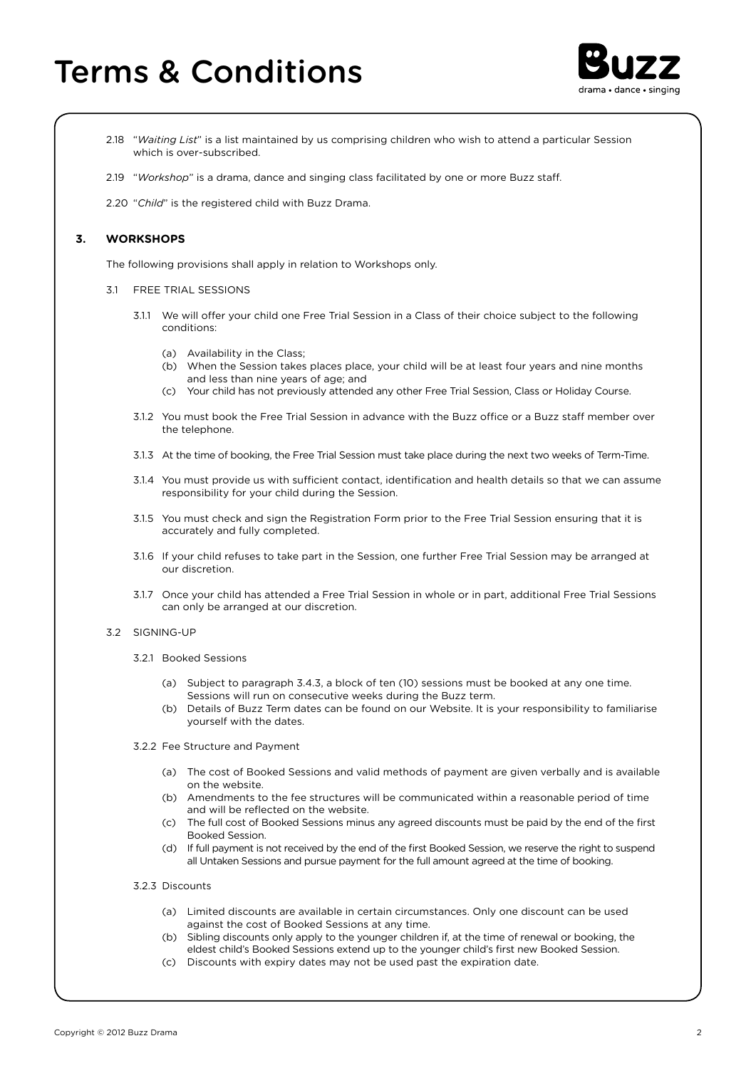# Terms & Conditions



- 2.18 "*Waiting List*" is a list maintained by us comprising children who wish to attend a particular Session which is over-subscribed.
- 2.19 "*Workshop*" is a drama, dance and singing class facilitated by one or more Buzz staff.

2.20 "*Child*" is the registered child with Buzz Drama.

## **3. WORKSHOPS**

The following provisions shall apply in relation to Workshops only.

- 3.1 FREE TRIAL SESSIONS
	- 3.1.1 We will offer your child one Free Trial Session in a Class of their choice subject to the following conditions:
		- (a) Availability in the Class;
		- (b) When the Session takes places place, your child will be at least four years and nine months and less than nine years of age; and
		- (c) Your child has not previously attended any other Free Trial Session, Class or Holiday Course.
	- 3.1.2 You must book the Free Trial Session in advance with the Buzz office or a Buzz staff member over the telephone.
	- 3.1.3 At the time of booking, the Free Trial Session must take place during the next two weeks of Term-Time.
	- 3.1.4 You must provide us with sufficient contact, identification and health details so that we can assume responsibility for your child during the Session.
	- 3.1.5 You must check and sign the Registration Form prior to the Free Trial Session ensuring that it is accurately and fully completed.
	- 3.1.6 If your child refuses to take part in the Session, one further Free Trial Session may be arranged at our discretion.
	- 3.1.7 Once your child has attended a Free Trial Session in whole or in part, additional Free Trial Sessions can only be arranged at our discretion.
- 3.2 SIGNING-UP
	- 3.2.1 Booked Sessions
		- (a) Subject to paragraph 3.4.3, a block of ten (10) sessions must be booked at any one time. Sessions will run on consecutive weeks during the Buzz term.
		- (b) Details of Buzz Term dates can be found on our Website. It is your responsibility to familiarise yourself with the dates.
	- 3.2.2 Fee Structure and Payment
		- (a) The cost of Booked Sessions and valid methods of payment are given verbally and is available on the website.
		- (b) Amendments to the fee structures will be communicated within a reasonable period of time and will be reflected on the website.
		- (c) The full cost of Booked Sessions minus any agreed discounts must be paid by the end of the first Booked Session.
		- (d) If full payment is not received by the end of the first Booked Session, we reserve the right to suspend all Untaken Sessions and pursue payment for the full amount agreed at the time of booking.
	- 3.2.3 Discounts
		- (a) Limited discounts are available in certain circumstances. Only one discount can be used against the cost of Booked Sessions at any time.
		- (b) Sibling discounts only apply to the younger children if, at the time of renewal or booking, the eldest child's Booked Sessions extend up to the younger child's first new Booked Session.
		- (c) Discounts with expiry dates may not be used past the expiration date.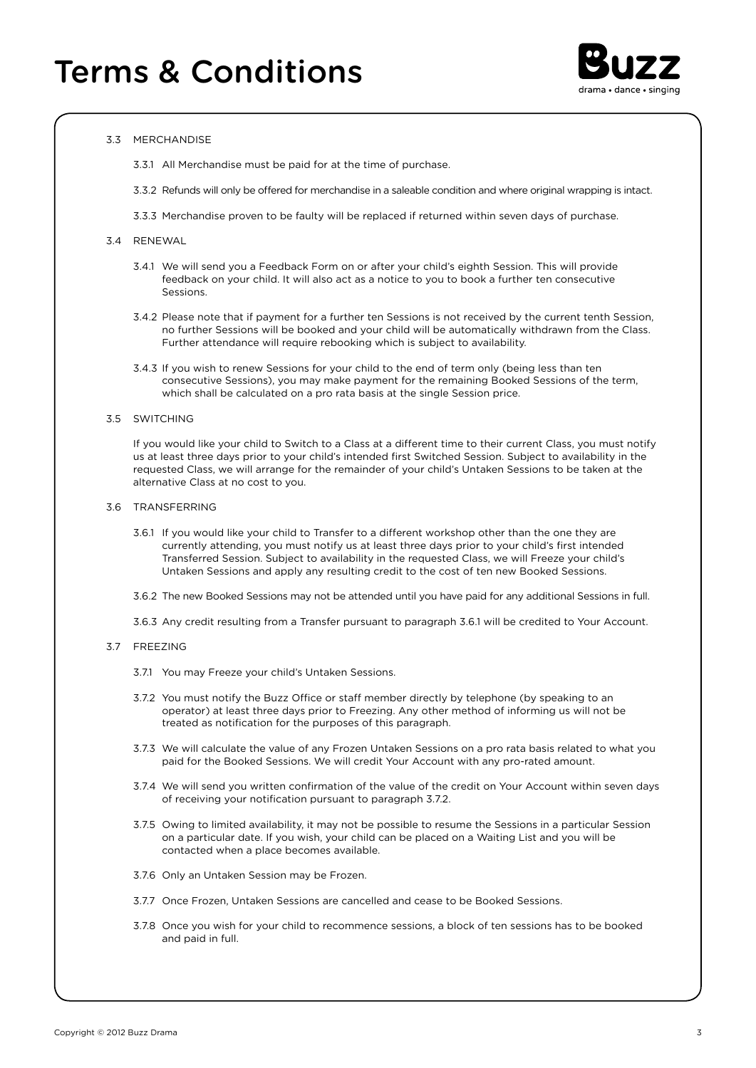

### 3.3 MERCHANDISE

3.3.1 All Merchandise must be paid for at the time of purchase.

- 3.3.2 Refunds will only be offered for merchandise in a saleable condition and where original wrapping is intact.
- 3.3.3 Merchandise proven to be faulty will be replaced if returned within seven days of purchase.

#### 3.4 RENEWAL

- 3.4.1 We will send you a Feedback Form on or after your child's eighth Session. This will provide feedback on your child. It will also act as a notice to you to book a further ten consecutive Sessions.
- 3.4.2 Please note that if payment for a further ten Sessions is not received by the current tenth Session, no further Sessions will be booked and your child will be automatically withdrawn from the Class. Further attendance will require rebooking which is subject to availability.
- 3.4.3 If you wish to renew Sessions for your child to the end of term only (being less than ten consecutive Sessions), you may make payment for the remaining Booked Sessions of the term, which shall be calculated on a pro rata basis at the single Session price.

#### 3.5 SWITCHING

 If you would like your child to Switch to a Class at a different time to their current Class, you must notify us at least three days prior to your child's intended first Switched Session. Subject to availability in the requested Class, we will arrange for the remainder of your child's Untaken Sessions to be taken at the alternative Class at no cost to you.

#### 3.6 TRANSFERRING

- 3.6.1 If you would like your child to Transfer to a different workshop other than the one they are currently attending, you must notify us at least three days prior to your child's first intended Transferred Session. Subject to availability in the requested Class, we will Freeze your child's Untaken Sessions and apply any resulting credit to the cost of ten new Booked Sessions.
- 3.6.2 The new Booked Sessions may not be attended until you have paid for any additional Sessions in full.
- 3.6.3 Any credit resulting from a Transfer pursuant to paragraph 3.6.1 will be credited to Your Account.

## 3.7 FREEZING

- 3.7.1 You may Freeze your child's Untaken Sessions.
- 3.7.2 You must notify the Buzz Office or staff member directly by telephone (by speaking to an operator) at least three days prior to Freezing. Any other method of informing us will not be treated as notification for the purposes of this paragraph.
- 3.7.3 We will calculate the value of any Frozen Untaken Sessions on a pro rata basis related to what you paid for the Booked Sessions. We will credit Your Account with any pro-rated amount.
- 3.7.4 We will send you written confirmation of the value of the credit on Your Account within seven days of receiving your notification pursuant to paragraph 3.7.2.
- 3.7.5 Owing to limited availability, it may not be possible to resume the Sessions in a particular Session on a particular date. If you wish, your child can be placed on a Waiting List and you will be contacted when a place becomes available.
- 3.7.6 Only an Untaken Session may be Frozen.
- 3.7.7 Once Frozen, Untaken Sessions are cancelled and cease to be Booked Sessions.
- 3.7.8 Once you wish for your child to recommence sessions, a block of ten sessions has to be booked and paid in full.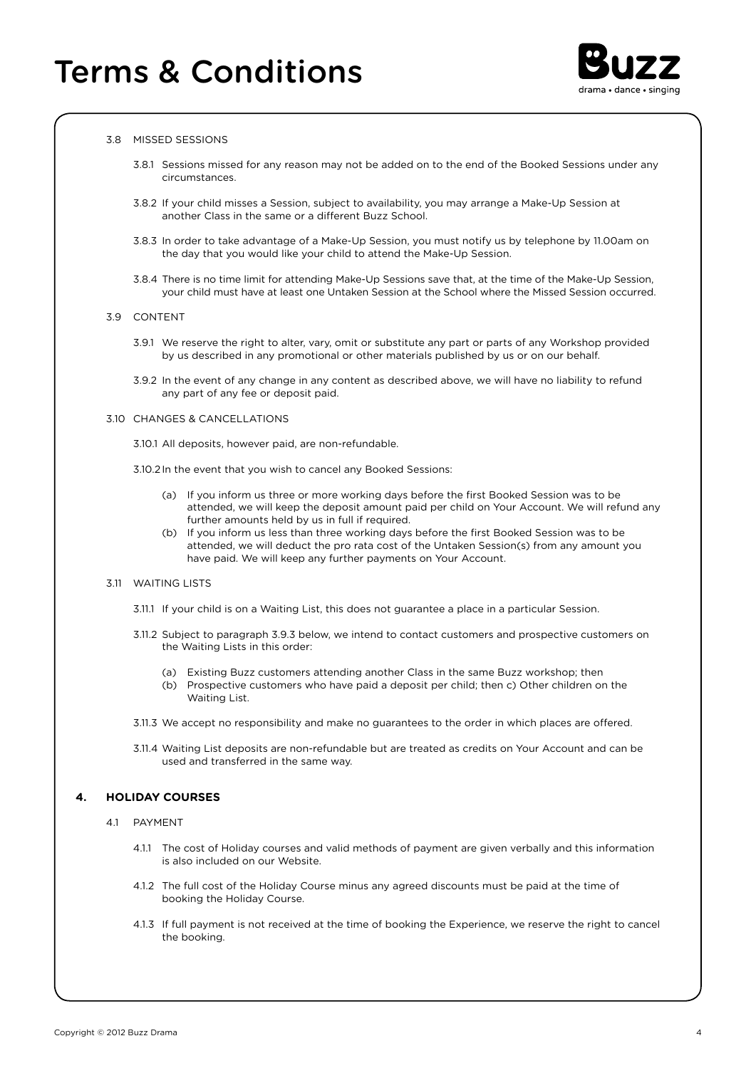

#### 3.8 MISSED SESSIONS

- 3.8.1 Sessions missed for any reason may not be added on to the end of the Booked Sessions under any circumstances.
- 3.8.2 If your child misses a Session, subject to availability, you may arrange a Make-Up Session at another Class in the same or a different Buzz School.
- 3.8.3 In order to take advantage of a Make-Up Session, you must notify us by telephone by 11.00am on the day that you would like your child to attend the Make-Up Session.
- 3.8.4 There is no time limit for attending Make-Up Sessions save that, at the time of the Make-Up Session, your child must have at least one Untaken Session at the School where the Missed Session occurred.

#### 3.9 CONTENT

- 3.9.1 We reserve the right to alter, vary, omit or substitute any part or parts of any Workshop provided by us described in any promotional or other materials published by us or on our behalf.
- 3.9.2 In the event of any change in any content as described above, we will have no liability to refund any part of any fee or deposit paid.

#### 3.10 CHANGES & CANCELLATIONS

- 3.10.1 All deposits, however paid, are non-refundable.
- 3.10.2In the event that you wish to cancel any Booked Sessions:
	- (a) If you inform us three or more working days before the first Booked Session was to be attended, we will keep the deposit amount paid per child on Your Account. We will refund any further amounts held by us in full if required.
	- (b) If you inform us less than three working days before the first Booked Session was to be attended, we will deduct the pro rata cost of the Untaken Session(s) from any amount you have paid. We will keep any further payments on Your Account.

#### 3.11 WAITING LISTS

- 3.11.1 If your child is on a Waiting List, this does not guarantee a place in a particular Session.
- 3.11.2 Subject to paragraph 3.9.3 below, we intend to contact customers and prospective customers on the Waiting Lists in this order:
	- (a) Existing Buzz customers attending another Class in the same Buzz workshop; then
	- (b) Prospective customers who have paid a deposit per child; then c) Other children on the Waiting List.
- 3.11.3 We accept no responsibility and make no guarantees to the order in which places are offered.
- 3.11.4 Waiting List deposits are non-refundable but are treated as credits on Your Account and can be used and transferred in the same way.

## **4. HOLIDAY COURSES**

- 4.1 PAYMENT
	- 4.1.1 The cost of Holiday courses and valid methods of payment are given verbally and this information is also included on our Website.
	- 4.1.2 The full cost of the Holiday Course minus any agreed discounts must be paid at the time of booking the Holiday Course.
	- 4.1.3 If full payment is not received at the time of booking the Experience, we reserve the right to cancel the booking.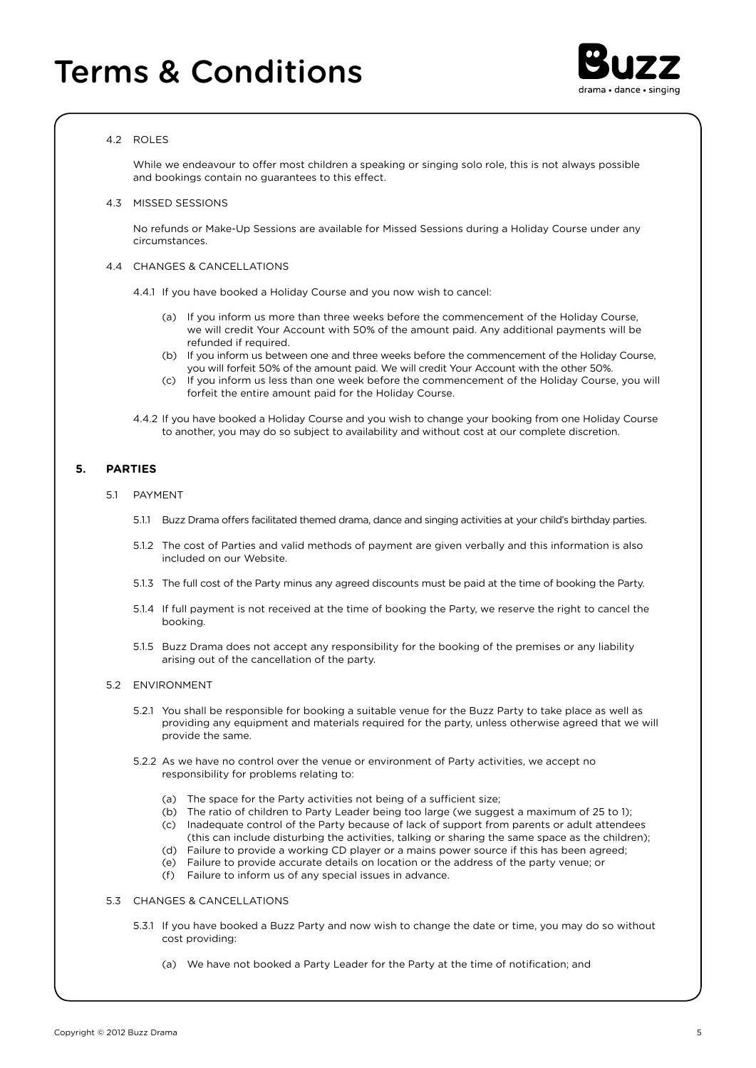

## 4.2 ROLES

While we endeavour to offer most children a speaking or singing solo role, this is not always possible and bookings contain no guarantees to this effect.

4.3 MISSED SESSIONS

 No refunds or Make-Up Sessions are available for Missed Sessions during a Holiday Course under any circumstances.

- 4.4 CHANGES & CANCELLATIONS
	- 4.4.1 If you have booked a Holiday Course and you now wish to cancel:
		- (a) If you inform us more than three weeks before the commencement of the Holiday Course, we will credit Your Account with 50% of the amount paid. Any additional payments will be refunded if required.
		- (b) If you inform us between one and three weeks before the commencement of the Holiday Course, you will forfeit 50% of the amount paid. We will credit Your Account with the other 50%.
		- (c) If you inform us less than one week before the commencement of the Holiday Course, you will forfeit the entire amount paid for the Holiday Course.
	- 4.4.2 If you have booked a Holiday Course and you wish to change your booking from one Holiday Course to another, you may do so subject to availability and without cost at our complete discretion.

### **5. PARTIES**

- 5.1 PAYMENT
	- 5.1.1 Buzz Drama offers facilitated themed drama, dance and singing activities at your child's birthday parties.
	- 5.1.2 The cost of Parties and valid methods of payment are given verbally and this information is also included on our Website.
	- 5.1.3 The full cost of the Party minus any agreed discounts must be paid at the time of booking the Party.
	- 5.1.4 If full payment is not received at the time of booking the Party, we reserve the right to cancel the booking.
	- 5.1.5 Buzz Drama does not accept any responsibility for the booking of the premises or any liability arising out of the cancellation of the party.

#### 5.2 ENVIRONMENT

- 5.2.1 You shall be responsible for booking a suitable venue for the Buzz Party to take place as well as providing any equipment and materials required for the party, unless otherwise agreed that we will provide the same.
- 5.2.2 As we have no control over the venue or environment of Party activities, we accept no responsibility for problems relating to:
	- (a) The space for the Party activities not being of a sufficient size;
	- (b) The ratio of children to Party Leader being too large (we suggest a maximum of 25 to 1); (c) Inadequate control of the Party because of lack of support from parents or adult attendees
	- (this can include disturbing the activities, talking or sharing the same space as the children);
	- (d) Failure to provide a working CD player or a mains power source if this has been agreed;
	- (e) Failure to provide accurate details on location or the address of the party venue; or
	- (f) Failure to inform us of any special issues in advance.

## 5.3 CHANGES & CANCELLATIONS

- 5.3.1 If you have booked a Buzz Party and now wish to change the date or time, you may do so without cost providing:
	- (a) We have not booked a Party Leader for the Party at the time of notification; and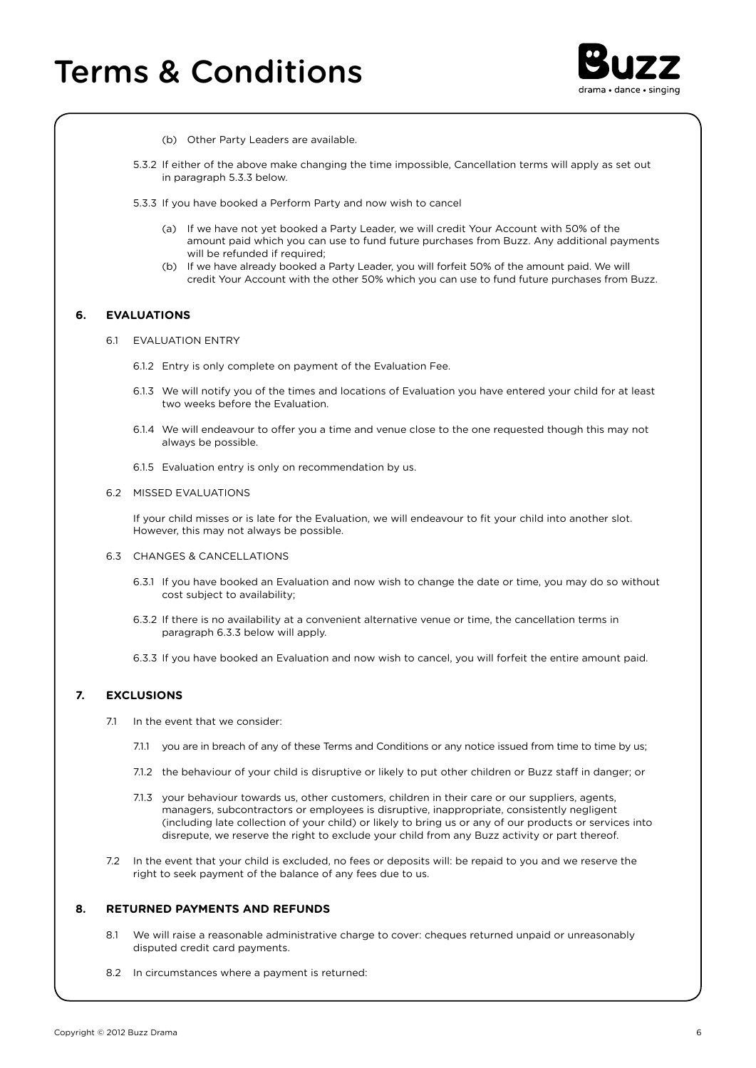

- (b) Other Party Leaders are available.
- 5.3.2 If either of the above make changing the time impossible, Cancellation terms will apply as set out in paragraph 5.3.3 below.
- 5.3.3 If you have booked a Perform Party and now wish to cancel
	- (a) If we have not yet booked a Party Leader, we will credit Your Account with 50% of the amount paid which you can use to fund future purchases from Buzz. Any additional payments will be refunded if required:
	- (b) If we have already booked a Party Leader, you will forfeit 50% of the amount paid. We will credit Your Account with the other 50% which you can use to fund future purchases from Buzz.

## **6. EVALUATIONS**

- 6.1 EVALUATION ENTRY
	- 6.1.2 Entry is only complete on payment of the Evaluation Fee.
	- 6.1.3 We will notify you of the times and locations of Evaluation you have entered your child for at least two weeks before the Evaluation.
	- 6.1.4 We will endeavour to offer you a time and venue close to the one requested though this may not always be possible.
	- 6.1.5 Evaluation entry is only on recommendation by us.

#### 6.2 MISSED EVALUATIONS

 If your child misses or is late for the Evaluation, we will endeavour to fit your child into another slot. However, this may not always be possible.

## 6.3 CHANGES & CANCELLATIONS

- 6.3.1 If you have booked an Evaluation and now wish to change the date or time, you may do so without cost subject to availability;
- 6.3.2 If there is no availability at a convenient alternative venue or time, the cancellation terms in paragraph 6.3.3 below will apply.
- 6.3.3 If you have booked an Evaluation and now wish to cancel, you will forfeit the entire amount paid.

## **7. EXCLUSIONS**

- 7.1 In the event that we consider:
	- 7.1.1 you are in breach of any of these Terms and Conditions or any notice issued from time to time by us;
	- 7.1.2 the behaviour of your child is disruptive or likely to put other children or Buzz staff in danger; or
	- 7.1.3 your behaviour towards us, other customers, children in their care or our suppliers, agents, managers, subcontractors or employees is disruptive, inappropriate, consistently negligent (including late collection of your child) or likely to bring us or any of our products or services into disrepute, we reserve the right to exclude your child from any Buzz activity or part thereof.
- 7.2 In the event that your child is excluded, no fees or deposits will: be repaid to you and we reserve the right to seek payment of the balance of any fees due to us.

## **8. RETURNED PAYMENTS AND REFUNDS**

- 8.1 We will raise a reasonable administrative charge to cover: cheques returned unpaid or unreasonably disputed credit card payments.
- 8.2 In circumstances where a payment is returned: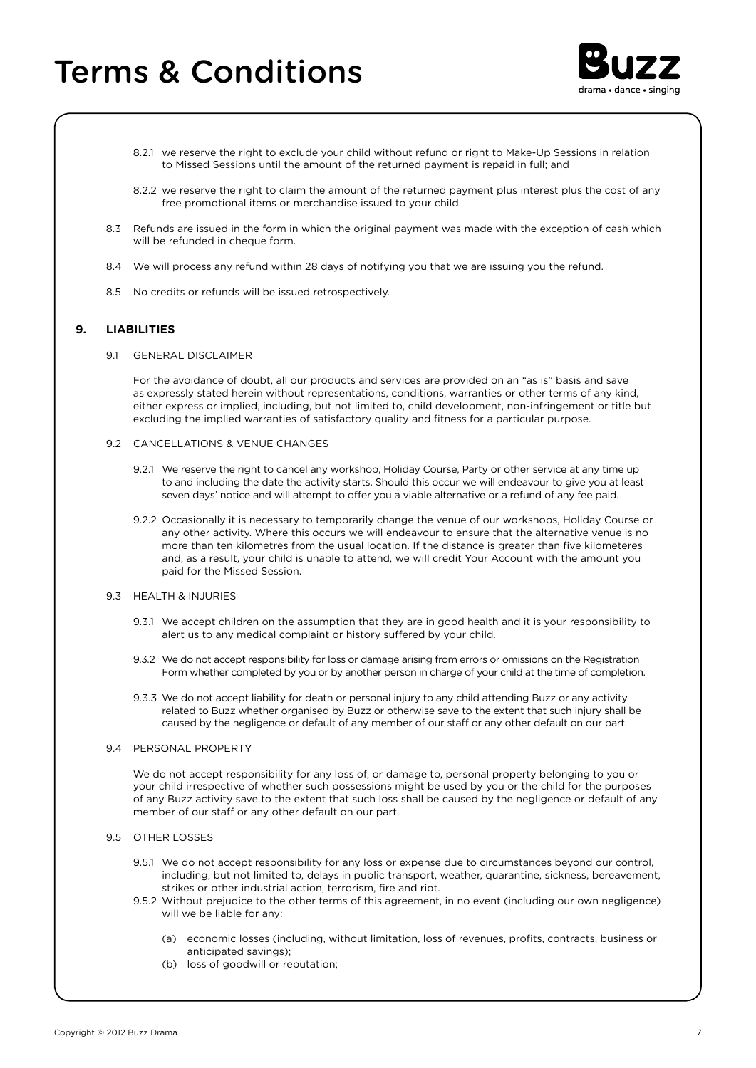# Terms & Conditions



- 8.2.1 we reserve the right to exclude your child without refund or right to Make-Up Sessions in relation to Missed Sessions until the amount of the returned payment is repaid in full; and
- 8.2.2 we reserve the right to claim the amount of the returned payment plus interest plus the cost of any free promotional items or merchandise issued to your child.
- 8.3 Refunds are issued in the form in which the original payment was made with the exception of cash which will be refunded in cheque form.
- 8.4 We will process any refund within 28 days of notifying you that we are issuing you the refund.
- 8.5 No credits or refunds will be issued retrospectively.

## **9. LIABILITIES**

9.1 GENERAL DISCLAIMER

 For the avoidance of doubt, all our products and services are provided on an "as is" basis and save as expressly stated herein without representations, conditions, warranties or other terms of any kind, either express or implied, including, but not limited to, child development, non-infringement or title but excluding the implied warranties of satisfactory quality and fitness for a particular purpose.

- 9.2 CANCELLATIONS & VENUE CHANGES
	- 9.2.1 We reserve the right to cancel any workshop, Holiday Course, Party or other service at any time up to and including the date the activity starts. Should this occur we will endeavour to give you at least seven days' notice and will attempt to offer you a viable alternative or a refund of any fee paid.
	- 9.2.2 Occasionally it is necessary to temporarily change the venue of our workshops, Holiday Course or any other activity. Where this occurs we will endeavour to ensure that the alternative venue is no more than ten kilometres from the usual location. If the distance is greater than five kilometeres and, as a result, your child is unable to attend, we will credit Your Account with the amount you paid for the Missed Session.
- 9.3 HEALTH & INJURIES
	- 9.3.1 We accept children on the assumption that they are in good health and it is your responsibility to alert us to any medical complaint or history suffered by your child.
	- 9.3.2 We do not accept responsibility for loss or damage arising from errors or omissions on the Registration Form whether completed by you or by another person in charge of your child at the time of completion.
	- 9.3.3 We do not accept liability for death or personal injury to any child attending Buzz or any activity related to Buzz whether organised by Buzz or otherwise save to the extent that such injury shall be caused by the negligence or default of any member of our staff or any other default on our part.
- 9.4 PERSONAL PROPERTY

 We do not accept responsibility for any loss of, or damage to, personal property belonging to you or your child irrespective of whether such possessions might be used by you or the child for the purposes of any Buzz activity save to the extent that such loss shall be caused by the negligence or default of any member of our staff or any other default on our part.

- 95 OTHER LOSSES
	- 9.5.1 We do not accept responsibility for any loss or expense due to circumstances beyond our control, including, but not limited to, delays in public transport, weather, quarantine, sickness, bereavement, strikes or other industrial action, terrorism, fire and riot.
	- 9.5.2 Without prejudice to the other terms of this agreement, in no event (including our own negligence) will we be liable for any:
		- (a) economic losses (including, without limitation, loss of revenues, profits, contracts, business or anticipated savings);
		- (b) loss of goodwill or reputation;